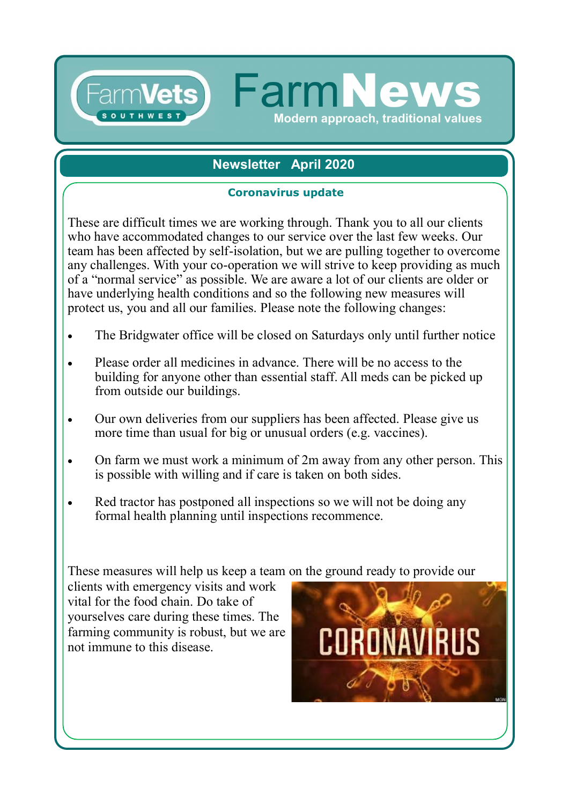## **Newsletter April 2020**

**Farm N** 

ew

Modern approach, traditional values

#### **Coronavirus update**

These are difficult times we are working through. Thank you to all our clients who have accommodated changes to our service over the last few weeks. Our team has been affected by self-isolation, but we are pulling together to overcome any challenges. With your co-operation we will strive to keep providing as much of a "normal service" as possible. We are aware a lot of our clients are older or have underlying health conditions and so the following new measures will protect us, you and all our families. Please note the following changes:

- The Bridgwater office will be closed on Saturdays only until further notice
- Please order all medicines in advance. There will be no access to the building for anyone other than essential staff. All meds can be picked up from outside our buildings.
- Our own deliveries from our suppliers has been affected. Please give us more time than usual for big or unusual orders (e.g. vaccines).
- On farm we must work a minimum of 2m away from any other person. This is possible with willing and if care is taken on both sides.
- Red tractor has postponed all inspections so we will not be doing any formal health planning until inspections recommence.

These measures will help us keep a team on the ground ready to provide our

clients with emergency visits and work vital for the food chain. Do take of yourselves care during these times. The farming community is robust, but we are not immune to this disease.